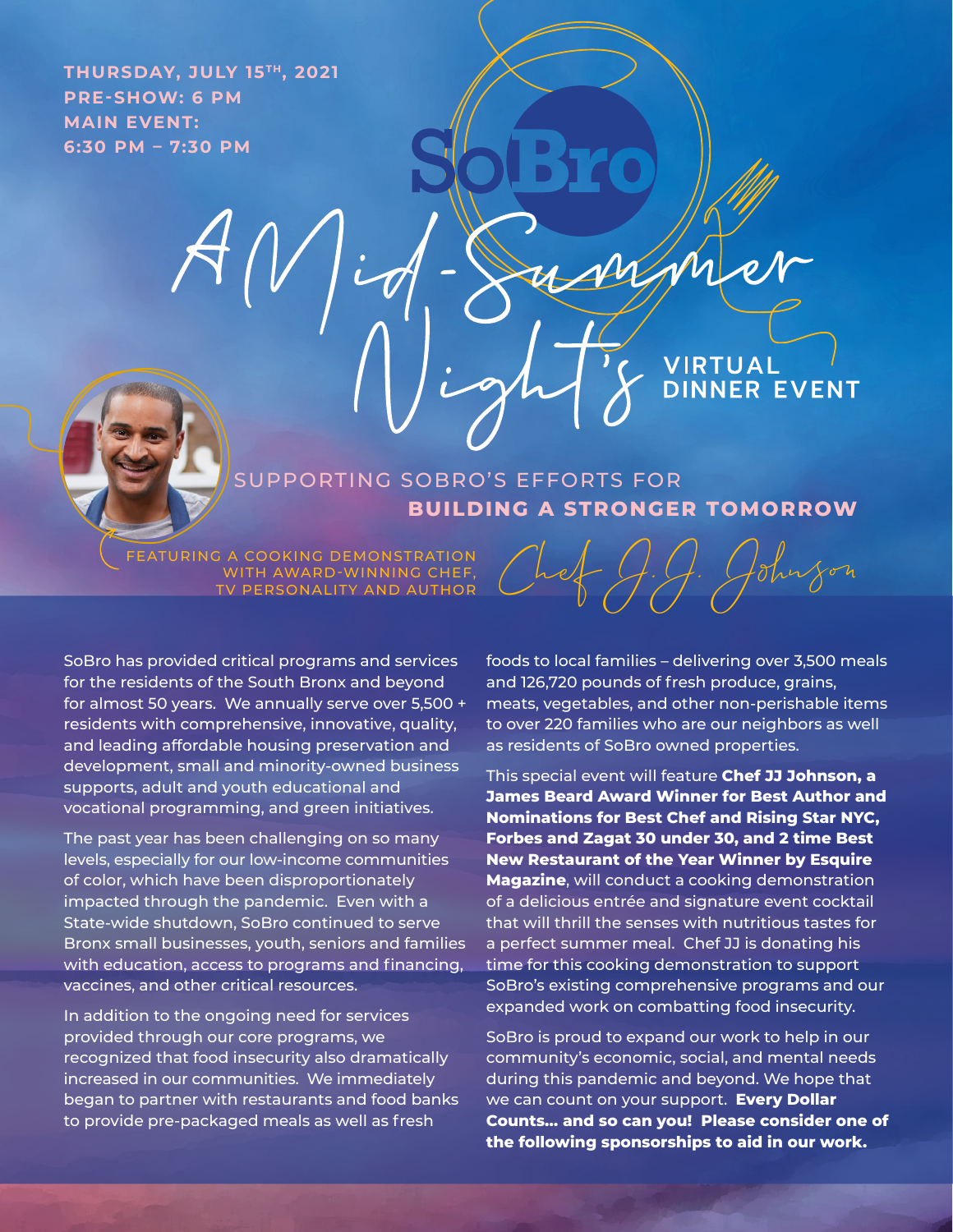**THURSDAY, JULY 15TH, 2021 PRE-SHOW: 6 PM MAIN EVENT: 6:30 PM – 7:30 PM**

> SUPPORTING SOBRO'S EFFORTS FOR **BUILDING A STRONGER TOMORROW**

FEATURING A COOKING DEMONSTRATION WITH AWARD-WINNING CHEF, TV PERSONALITY AND AUTHOR

SoBro has provided critical programs and services for the residents of the South Bronx and beyond for almost 50 years. We annually serve over 5,500 + residents with comprehensive, innovative, quality, and leading affordable housing preservation and development, small and minority-owned business supports, adult and youth educational and vocational programming, and green initiatives.

The past year has been challenging on so many levels, especially for our low-income communities of color, which have been disproportionately impacted through the pandemic. Even with a State-wide shutdown, SoBro continued to serve Bronx small businesses, youth, seniors and families with education, access to programs and financing, vaccines, and other critical resources.

In addition to the ongoing need for services provided through our core programs, we recognized that food insecurity also dramatically increased in our communities. We immediately began to partner with restaurants and food banks to provide pre-packaged meals as well as fresh

foods to local families – delivering over 3,500 meals and 126,720 pounds of fresh produce, grains, meats, vegetables, and other non-perishable items to over 220 families who are our neighbors as well as residents of SoBro owned properties.

This special event will feature **Chef JJ Johnson, a James Beard Award Winner for Best Author and Nominations for Best Chef and Rising Star NYC, Forbes and Zagat 30 under 30, and 2 time Best New Restaurant of the Year Winner by Esquire Magazine**, will conduct a cooking demonstration of a delicious entrée and signature event cocktail that will thrill the senses with nutritious tastes for a perfect summer meal. Chef JJ is donating his time for this cooking demonstration to support SoBro's existing comprehensive programs and our expanded work on combatting food insecurity.

SoBro is proud to expand our work to help in our community's economic, social, and mental needs during this pandemic and beyond. We hope that we can count on your support. **Every Dollar Counts… and so can you! Please consider one of the following sponsorships to aid in our work.**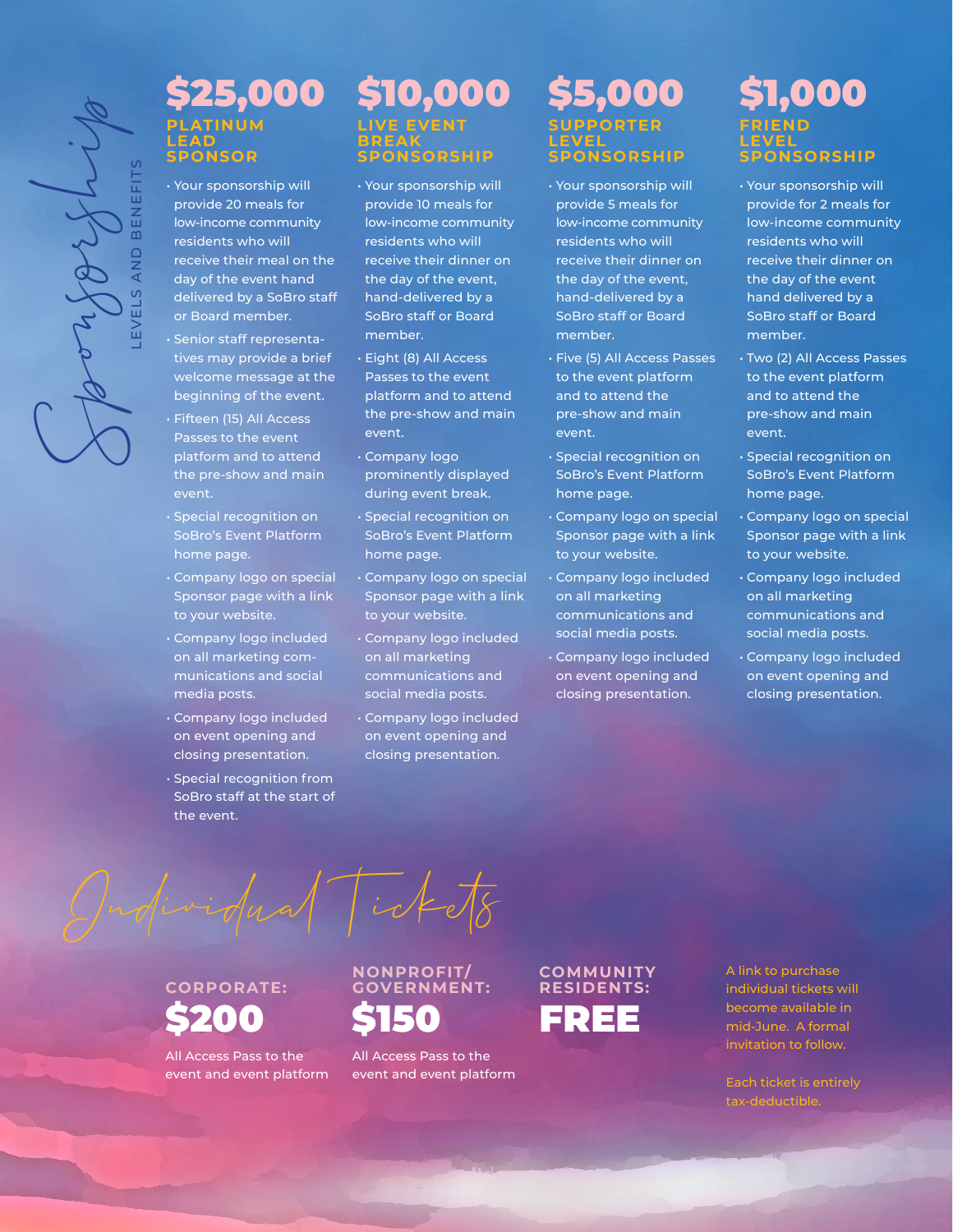## \$25,000 **PLATINUM LEAD SPONSOR**

• Your sponsorship will provide 20 meals for low-income community residents who will receive their meal on the day of the event hand delivered by a SoBro staff or Board member.

Sponsorship

LEVELS AND BENEFITS

- Senior staff representatives may provide a brief welcome message at the beginning of the event.
- Fifteen (15) All Access Passes to the event platform and to attend the pre-show and main
- Special recognition on SoBro's Event Platform home page.
- Company logo on special Sponsor page with a link to your website.
- Company logo included on all marketing communications and social media posts.
- Company logo included on event opening and closing presentation.
- Special recognition from SoBro staff at the start of the event.

## \$10,000 **LIVE EVENT BREA SPONSORSHIP**

- Your sponsorship will provide 10 meals for low-income community residents who will receive their dinner on the day of the event, hand-delivered by a SoBro staff or Board member.
- Eight (8) All Access Passes to the event platform and to attend the pre-show and main event.
- Company logo prominently displayed during event break.
- Special recognition on SoBro's Event Platform home page.
- Company logo on special Sponsor page with a link to your website.
- Company logo included on all marketing communications and social media posts.
- Company logo included on event opening and closing presentation.

## \$5,000 **SUPPORTER LEVEL SPONSORSHIP**

- Your sponsorship will provide 5 meals for low-income community residents who will receive their dinner on the day of the event, hand-delivered by a SoBro staff or Board member.
- Five (5) All Access Passes to the event platform and to attend the pre-show and main event.
- Special recognition on SoBro's Event Platform home page.
- Company logo on special Sponsor page with a link to your website.
- Company logo included on all marketing communications and social media posts.
- Company logo included on event opening and closing presentation.

## \$1,000 **FRIEND LEVEL SPONSORSHIP**

- Your sponsorship will provide for 2 meals for low-income community residents who will receive their dinner on the day of the event hand delivered by a SoBro staff or Board member.
- Two (2) All Access Passes to the event platform and to attend the pre-show and main event.
- Special recognition on SoBro's Event Platform home page.
- Company logo on special Sponsor page with a link to your website.
- Company logo included on all marketing communications and social media posts.
- Company logo included on event opening and closing presentation.

icke

## **CORPORATE:** \$200

All Access Pass to the event and event platform



All Access Pass to the event and event platform

## **COMMUNITY RESIDENTS:**  FREE

A link to purchase individual tickets will become available in mid-June. A formal

Each ticket is entirely tax-deductible.